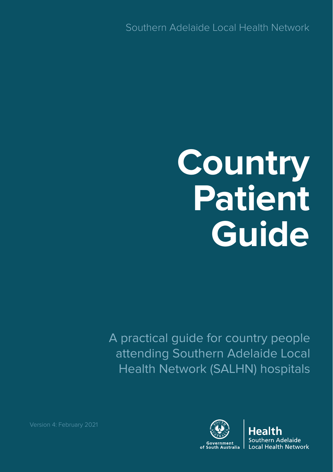Southern Adelaide Local Health Network

# **Country Patient Guide**

A practical guide for country people attending Southern Adelaide Local Health Network (SALHN) hospitals



Adelaide **Local Health Network**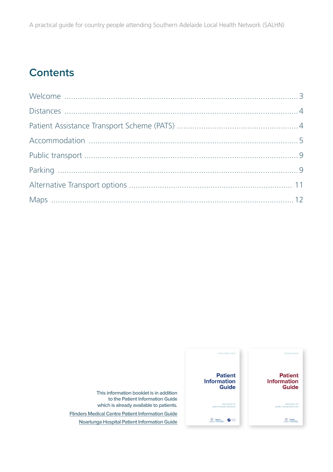# **Contents**



**This information booklet is in addition to the Patient Information Guide which is already available to patients. [Flinders Medical Centre Patient Information Guide](https://www.sahealth.sa.gov.au/wps/wcm/connect/c1cb4c004bc8cacc9b71bfeb3852325e/Patient+Information+Guide+Flinders+Medical+Centre.pdf?MOD=AJPERES&CACHEID=ROOTWORKSPACE-c1cb4c004bc8cacc9b71bfeb3852325e-niRTKBu) [Noarlunga Hospital Patient Information Guide](https://www.sahealth.sa.gov.au/wps/wcm/connect/36965b8049b585a88a4dde9b6ca12d15/Noarlunga+Hospital+Patient+Information+Guide+SALHN.pdf?MOD=AJPERES&CACHEID=ROOTWORKSPACE-36965b8049b585a88a4dde9b6ca12d15-niR6W8-)**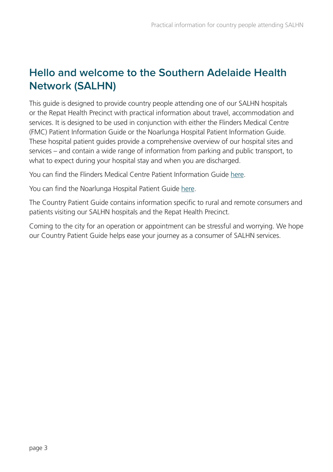# **Hello and welcome to the Southern Adelaide Health Network (SALHN)**

This guide is designed to provide country people attending one of our SALHN hospitals or the Repat Health Precinct with practical information about travel, accommodation and services. It is designed to be used in conjunction with either the Flinders Medical Centre (FMC) Patient Information Guide or the Noarlunga Hospital Patient Information Guide. These hospital patient guides provide a comprehensive overview of our hospital sites and services – and contain a wide range of information from parking and public transport, to what to expect during your hospital stay and when you are discharged.

You can find the Flinders Medical Centre Patient Information Guide [here.](https://www.sahealth.sa.gov.au/wps/wcm/connect/c1cb4c004bc8cacc9b71bfeb3852325e/Patient+Information+Guide+Flinders+Medical+Centre.pdf?MOD=AJPERES&CACHEID=ROOTWORKSPACE-c1cb4c004bc8cacc9b71bfeb3852325e-niRTKBu)

You can find the Noarlunga Hospital Patient Guide [here.](https://www.sahealth.sa.gov.au/wps/wcm/connect/36965b8049b585a88a4dde9b6ca12d15/Noarlunga+Hospital+Patient+Information+Guide+SALHN.pdf?MOD=AJPERES&CACHEID=ROOTWORKSPACE-36965b8049b585a88a4dde9b6ca12d15-niR6W8-) 

The Country Patient Guide contains information specific to rural and remote consumers and patients visiting our SALHN hospitals and the Repat Health Precinct.

Coming to the city for an operation or appointment can be stressful and worrying. We hope our Country Patient Guide helps ease your journey as a consumer of SALHN services.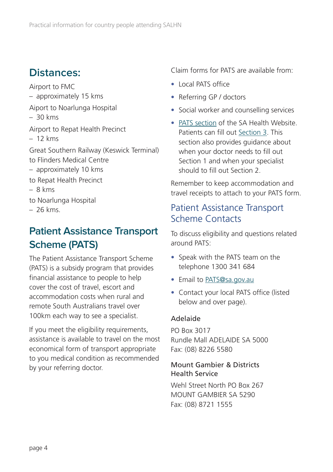# <span id="page-3-0"></span>**Distances:**

Airport to FMC – approximately 15 kms Aiport to Noarlunga Hospital – 30 kms Airport to Repat Health Precinct – 12 kms Great Southern Railway (Keswick Terminal) to Flinders Medical Centre – approximately 10 kms to Repat Health Precinct – 8 kms to Noarlunga Hospital – 26 kms.

# **Patient Assistance Transport Scheme (PATS)**

The Patient Assistance Transport Scheme (PATS) is a subsidy program that provides financial assistance to people to help cover the cost of travel, escort and accommodation costs when rural and remote South Australians travel over 100km each way to see a specialist.

If you meet the eligibility requirements, assistance is available to travel on the most economical form of transport appropriate to you medical condition as recommended by your referring doctor.

Claim forms for PATS are available from:

- Local PATS office
- Referring GP / doctors
- Social worker and counselling services
- [PATS section](https://www.sahealth.sa.gov.au/wps/wcm/connect/public+content/sa+health+internet/search?q=Patient+Assistance+Transport+Scheme) of the SA Health Website. Patients can fill out [Section 3.](https://www.sahealth.sa.gov.au/wps/wcm/connect/3d9cd6004d48c687837dfb4c56539eed/PATS+-+SECTION+3_R3..pdf?MOD=AJPERES&CACHEID=ROOTWORKSPACE-3d9cd6004d48c687837dfb4c56539eed-niRKLQv) This section also provides guidance about when your doctor needs to fill out Section 1 and when your specialist should to fill out Section 2.

Remember to keep accommodation and travel receipts to attach to your PATS form.

# Patient Assistance Transport Scheme Contacts

To discuss eligibility and questions related around PATS:

- Speak with the PATS team on the telephone 1300 341 684
- Email to [PATS@sa.gov.au](mailto:PATS@sa.gov.au)
- Contact your local PATS office (listed below and over page).

#### Adelaide

PO Box 3017 Rundle Mall ADELAIDE SA 5000 Fax: (08) 8226 5580

#### Mount Gambier & Districts Health Service

Wehl Street North PO Box 267 MOUNT GAMBIER SA 5290 Fax: (08) 8721 1555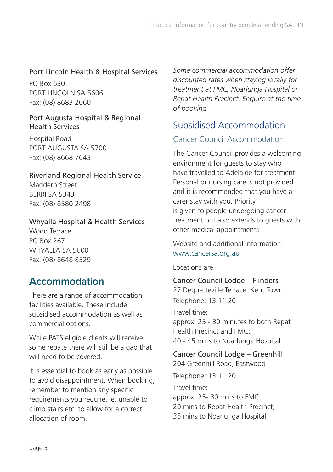#### <span id="page-4-0"></span>Port Lincoln Health & Hospital Services

PO Box 630 PORT LINCOLN SA 5606 Fax: (08) 8683 2060

#### Port Augusta Hospital & Regional Health Services

Hospital Road PORT AUGUSTA SA 5700 Fax: (08) 8668 7643

# Riverland Regional Health Service

Maddern Street BERRI SA 5343 Fax: (08) 8580 2498

#### Whyalla Hospital & Health Services

Wood Terrace PO Box 267 WHYALLA SA 5600 Fax: (08) 8648 8529

# **Accommodation**

There are a range of accommodation facilities available. These include subsidised accommodation as well as commercial options.

While PATS eligible clients will receive some rebate there will still be a gap that will need to be covered.

It is essential to book as early as possible to avoid disappointment. When booking, remember to mention any specific requirements you require, ie. unable to climb stairs etc. to allow for a correct allocation of room.

*Some commercial accommodation offer discounted rates when staying locally for treatment at FMC, Noarlunga Hospital or Repat Health Precinct. Enquire at the time of booking.*

# Subsidised Accommodation

#### Cancer Council Accommodation

The Cancer Council provides a welcoming environment for guests to stay who have travelled to Adelaide for treatment. Personal or nursing care is not provided and it is recommended that you have a carer stay with you. Priority is given to people undergoing cancer treatment but also extends to guests with other medical appointments.

#### Website and additional information: [www.cancersa.org.au](http://www.cancersa.org.au/)

Locations are:

#### Cancer Council Lodge – Flinders

27 Dequetteville Terrace, Kent Town Telephone: 13 11 20

Travel time: approx. 25 - 30 minutes to both Repat Health Precinct and FMC; 40 - 45 mins to Noarlunga Hospital.

#### Cancer Council Lodge – Greenhill 204 Greenhill Road, Eastwood

Telephone: 13 11 20 Travel time: approx. 25- 30 mins to FMC; 20 mins to Repat Health Precinct; 35 mins to Noarlunga Hospital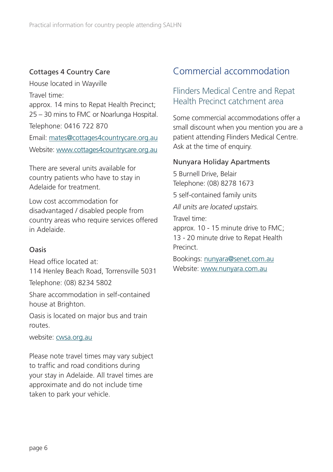#### <span id="page-5-0"></span>Cottages 4 Country Care

House located in Wayville Travel time: approx. 14 mins to Repat Health Precinct; 25 – 30 mins to FMC or Noarlunga Hospital. Telephone: 0416 722 870 Email: [mates@cottages4countrycare.org.au](mailto:mates@cottages4countrycare.org.au)

Website: www[.cottages4countrycare.org.au](http://cottages4countrycare.org.au/)

There are several units available for country patients who have to stay in Adelaide for treatment.

Low cost accommodation for disadvantaged / disabled people from country areas who require services offered in Adelaide.

#### Oasis

Head office located at: 114 Henley Beach Road, Torrensville 5031

Telephone: (08) 8234 5802

Share accommodation in self-contained house at Brighton.

Oasis is located on major bus and train routes.

website: [cwsa.org.au](http://cwsa.org.au)

Please note travel times may vary subject to traffic and road conditions during your stay in Adelaide. All travel times are approximate and do not include time taken to park your vehicle.

# Commercial accommodation

#### Flinders Medical Centre and Repat Health Precinct catchment area

Some commercial accommodations offer a small discount when you mention you are a patient attending Flinders Medical Centre. Ask at the time of enquiry.

#### Nunyara Holiday Apartments

5 Burnell Drive, Belair Telephone: (08) 8278 1673 5 self-contained family units *All units are located upstairs.* Travel time: approx. 10 - 15 minute drive to FMC; 13 - 20 minute drive to Repat Health Precinct.

Bookings: [nunyara@senet.com.au](mailto:nunyara@senet.com.au) Website: [www.nunyara.com.au](http://www.nunyara.com.au/)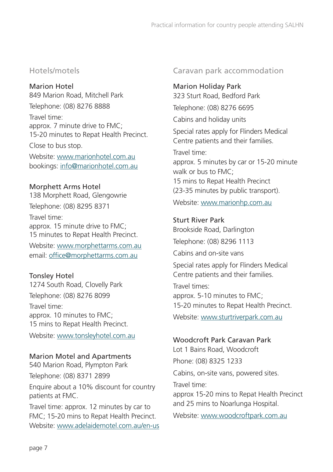#### Hotels/motels

Marion Hotel 849 Marion Road, Mitchell Park Telephone: (08) 8276 8888 Travel time: approx. 7 minute drive to FMC; 15-20 minutes to Repat Health Precinct. Close to bus stop. Website: [www.marionhotel.com.au](http://www.marionhotel.com.au/)

bookings: [info@marionhotel.com.au](mailto:info@marionhotel.com.au)

#### Morphett Arms Hotel

138 Morphett Road, Glengowrie Telephone: (08) 8295 8371

Travel time: approx. 15 minute drive to FMC; 15 minutes to Repat Health Precinct.

Website: [www.morphettarms.com.au](http://www.morphettarms.com.au/) email: [of](mailto:office@morphettarms.com.au)[fice@morphettarms.com.au](mailto:fice@morphettarms.com.au)

#### Tonsley Hotel

1274 South Road, Clovelly Park Telephone: (08) 8276 8099

Travel time: approx. 10 minutes to FMC; 15 mins to Repat Health Precinct.

Website: [www.tonsleyhotel.com.au](http://www.tonsleyhotel.com.au/)

#### Marion Motel and Apartments

540 Marion Road, Plympton Park Telephone: (08) 8371 2899 Enquire about a 10% discount for country patients at FMC.

Travel time: approx. 12 minutes by car to FMC; 15-20 mins to Repat Health Precinct. Website: [www.adelaidemotel.com.au/en-us](http://www.adelaidemotel.com.au/en-us)

#### Caravan park accommodation

#### Marion Holiday Park

323 Sturt Road, Bedford Park Telephone: (08) 8276 6695

Cabins and holiday units

Special rates apply for Flinders Medical Centre patients and their families.

Travel time: approx. 5 minutes by car or 15-20 minute walk or bus to FMC; 15 mins to Repat Health Precinct (23-35 minutes by public transport).

Website: [www.marionhp.com.au](om.au/)

#### Sturt River Park

Brookside Road, Darlington Telephone: (08) 8296 1113

Cabins and on-site vans

Special rates apply for Flinders Medical Centre patients and their families.

Travel times: approx. 5-10 minutes to FMC; 15-20 minutes to Repat Health Precinct.

Website: [www.sturtriverpark.com.au](http://www.sturtriverpark.com.au/)

#### Woodcroft Park Caravan Park

Lot 1 Bains Road, Woodcroft Phone: (08) 8325 1233

Cabins, on-site vans, powered sites.

Travel time:

approx 15-20 mins to Repat Health Precinct and 25 mins to Noarlunga Hospital.

Website: [www.woodcroftpark.com.au](http://www.woodcroftpark.com.au/)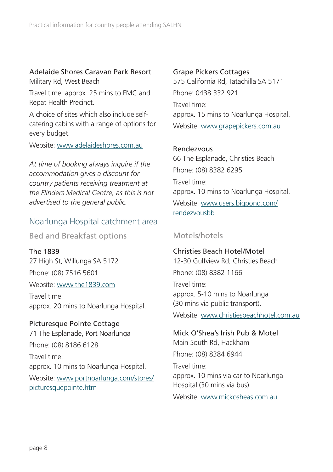# <span id="page-7-0"></span>Adelaide Shores Caravan Park Resort

Military Rd, West Beach

Travel time: approx. 25 mins to FMC and Repat Health Precinct.

A choice of sites which also include selfcatering cabins with a range of options for every budget.

Website: [www.adelaideshores.com.au](http://www.adelaideshores.com.au/).

*At time of booking always inquire if the accommodation gives a discount for country patients receiving treatment at the Flinders Medical Centre, as this is not advertised to the general public.*

#### Noarlunga Hospital catchment area

Bed and Breakfast options

The 1839 27 High St, Willunga SA 5172 Phone: (08) 7516 5601

Website: [www.the1839.com](http://www.the1839.com)

Travel time: approx. 20 mins to Noarlunga Hospital.

#### Picturesque Pointe Cottage

71 The Esplanade, Port Noarlunga Phone: (08) 8186 6128 Travel time: approx. 10 mins to Noarlunga Hospital. Website: www.portnoarlunga.com/stores/ picturesquepointe.htm

#### Grape Pickers Cottages

575 California Rd, Tatachilla SA 5171 Phone: 0438 332 921 Travel time: approx. 15 mins to Noarlunga Hospital. Website: [www.grapepickers.com.au](http://www.grapepickers.com.au)

#### Rendezvous

66 The Esplanade, Christies Beach Phone: (08) 8382 6295 Travel time: approx. 10 mins to Noarlunga Hospital. Website: www.users.bigpond.com/ rendezvousbb

#### Motels/hotels

Christies Beach Hotel/Motel 12-30 Gulfview Rd, Christies Beach Phone: (08) 8382 1166 Travel time: approx. 5-10 mins to Noarlunga (30 mins via public transport). Website: [www.christiesbeachhotel.com.au](http://www.christiesbeachhotel.com.au)

Mick O'Shea's Irish Pub & Motel Main South Rd, Hackham Phone: (08) 8384 6944 Travel time:

approx. 10 mins via car to Noarlunga Hospital (30 mins via bus).

Website: [www.mickosheas.com.au](http://www.mickosheas.com.au)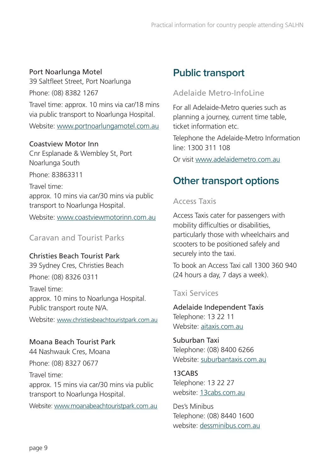#### Port Noarlunga Motel

39 Saltfleet Street, Port Noarlunga Phone: (08) 8382 1267

Travel time: approx. 10 mins via car/18 mins via public transport to Noarlunga Hospital.

Website: [www.portnoarlungamotel.com.au](http://www.portnoarlungamotel.com.au)

#### Coastview Motor Inn

Cnr Esplanade & Wembley St, Port Noarlunga South

Phone: 83863311

Travel time:

approx. 10 mins via car/30 mins via public transport to Noarlunga Hospital.

Website: [www.coastviewmotorinn.com.au](http://www.coastviewmotorinn.com.au)

#### Caravan and Tourist Parks

#### Christies Beach Tourist Park

39 Sydney Cres, Christies Beach Phone: (08) 8326 0311

Travel time: approx. 10 mins to Noarlunga Hospital. Public transport route N/A.

Website: [www.christiesbeachtouristpark.com.au](http://www.christiesbeachtouristpark.com.au)

Moana Beach Tourist Park 44 Nashwauk Cres, Moana Phone: (08) 8327 0677

Travel time: approx. 15 mins via car/30 mins via public transport to Noarlunga Hospital.

Website: [www.moanabeachtouristpark.com.au](http://www.moanabeachtouristpark.com.au)

# **Public transport**

#### Adelaide Metro-InfoLine

For all Adelaide-Metro queries such as planning a journey, current time table, ticket information etc.

Telephone the Adelaide-Metro Information line: 1300 311 108

Or visit [www.adelaidemetro.com.au](http://www.adelaidemetro.com.au/)

# **Other transport options**

#### Access Taxis

Access Taxis cater for passengers with mobility difficulties or disabilities, particularly those with wheelchairs and scooters to be positioned safely and securely into the taxi.

To book an Access Taxi call 1300 360 940 (24 hours a day, 7 days a week).

#### Taxi Services

Adelaide Independent Taxis Telephone: 13 22 11 Website: aitaxis.com.au

Suburban Taxi Telephone: (08) 8400 6266 Website: suburbantaxis.com.au

13CABS Telephone: 13 22 27 website: 13cabs.com.au

Des's Minibus Telephone: (08) 8440 1600 website: dessminibus.com.au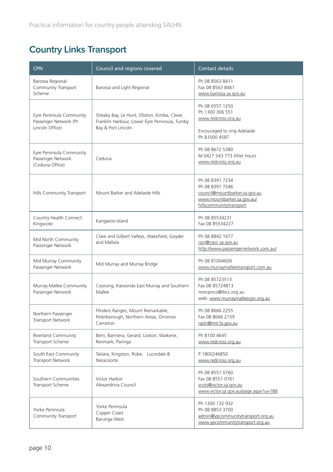# **Country Links Transport**

| <b>CPN</b>                                                           | Council and regions covered                                                                                          | <b>Contact details</b>                                                                                                       |
|----------------------------------------------------------------------|----------------------------------------------------------------------------------------------------------------------|------------------------------------------------------------------------------------------------------------------------------|
| Barossa Regional<br>Community Transport<br>Scheme                    | Barossa and Light Regional                                                                                           | Ph 08 8563 8411<br>Fax 08 8563 8461<br>www.barossa.sa.gov.au                                                                 |
| Eyre Peninsula Community<br>Passenger Network (Pt<br>Lincoln Office) | Streaky Bay, Le Hunt, Elliston, Kimba, Cleve,<br>Franklin Harbour, Lower Eyre Peninsula, Tumby<br>Bay & Port Lincoln | Ph 08 6557 1250<br>Ph 1300 306 551<br>www.redcross.org.au                                                                    |
|                                                                      |                                                                                                                      | Encouraged to ring Adelaide<br>Ph 81000 4587                                                                                 |
| Eyre Peninsula Community<br>Passenger Network<br>(Ceduna Office)     | Ceduna                                                                                                               | Ph 08 8672 5380<br>M 0427 543 773 After hours<br>www.redcross.org.au                                                         |
| Hills Community Transport                                            | Mount Barker and Adelaide Hills                                                                                      | Ph 08 8391 7234<br>Ph 08 8391 7246<br>council@mountbarker.sa.gov.au<br>www.mountbarker.sa.gov.au/<br>hillscommunitytransport |
| Country Health Connect:<br>Kingscote                                 | Kangaroo Island                                                                                                      | Ph 08 85534231<br>Fax 08 85534227                                                                                            |
| Mid North Community<br>Passenger Network                             | Clare and Gilbert Valleys, Wakefield, Goyder<br>and Mallala                                                          | Ph 08 8842 1677<br>cpn@cqvc.sa.gov.au<br>http://www.passengernetwork.com.au/                                                 |
| Mid Murray Community<br>Passenger Network                            | Mid Murray and Murray Bridge                                                                                         | Ph 08 81004609<br>www.murraymalleetransport.com.au                                                                           |
| Murray Mallee Community<br>Passenger Network                         | Coorong, Karoonda East Murray and Southern<br>Mallee                                                                 | Ph 08 85723513<br>Fax 08 85724813<br>mmcpnco@tbcc.org.au<br>web: www.murraymalleecpn.org.au                                  |
| Northern Passenger<br><b>Transport Network</b>                       | Flinders Ranges, Mount Remarkable,<br>Peterborough, Northern Areas, Orrorroo<br>Carrieton                            | Ph 08 8666 2255<br>Fax 08 8666 2159<br>nptn@mtr.fa.gov.au                                                                    |
| Riverland Community<br>Transport Scheme                              | Berri, Barmera, Gerard, Loxton, Waikerie,<br>Renmark, Paringa                                                        | Ph 8100 4645<br>www.redcross.org.au                                                                                          |
| South East Community<br>Transport Network                            | Tatiara, Kingston, Robe, Lucindale &<br>Naracoorte                                                                   | P 1800246850<br>www.redcross.org.au                                                                                          |
| Southern Communities<br>Transport Scheme                             | Victor Harbor<br>Alexandrina Council                                                                                 | Ph 08 8551 0760<br>Fax 08 8551 0761<br>scots@victor.sa.gov.au<br>www.victor.sa.gov.au/page.aspx?u=188                        |
| Yorke Peninsula<br>Community Transport                               | Yorke Peninsula<br>Copper Coast<br>Barunga West                                                                      | Ph 1300 132 932<br>Ph 08 8853 3700<br>admin@ypcommunitytransport.org.au<br>www.ypcommunitytransport.org.au                   |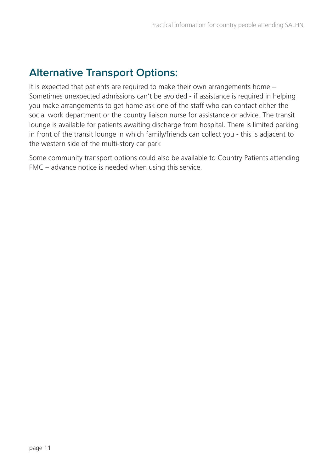# **Alternative Transport Options:**

It is expected that patients are required to make their own arrangements home – Sometimes unexpected admissions can't be avoided - if assistance is required in helping you make arrangements to get home ask one of the staff who can contact either the social work department or the country liaison nurse for assistance or advice. The transit lounge is available for patients awaiting discharge from hospital. There is limited parking in front of the transit lounge in which family/friends can collect you - this is adjacent to the western side of the multi-story car park

Some community transport options could also be available to Country Patients attending FMC – advance notice is needed when using this service.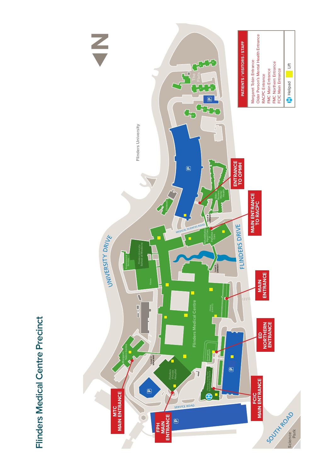

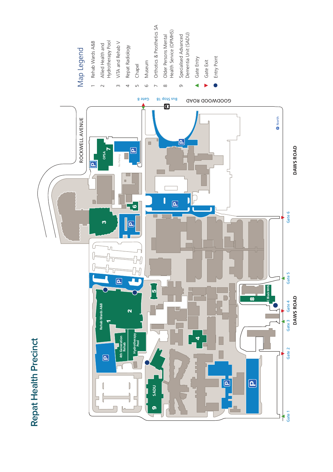

# Rehab Wards A&B Map Legend Map Legend

- Allied Health and<br>Hydrotherapy Pool 2 Allied Health and
	- ViTA and Rehab V Hydrotherapy Pool ViTA and Rehab V
- Repat Radiology 4 Repat Radiology
- Chapel 5 Chape
	- Museum Museum
- Orthotics & Prosthetics SA Orthotics & Prosthetics SA
	- Older Persons Mental Older Persons Mental
- Health Service (OPMHS) Health Service (OPMHS)
	- Specialised Advanced<br>Dementia Unit (SADU) Specialised Advanced Dementia Unit (SADU)
		- - Gate Entry
				- Gate Exit
					-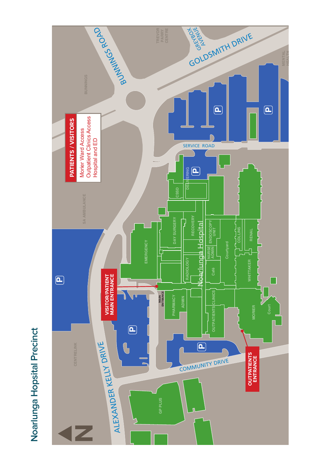# Noarlunga Hopsital Precinct **Noarlunga Hopsital Precinct**